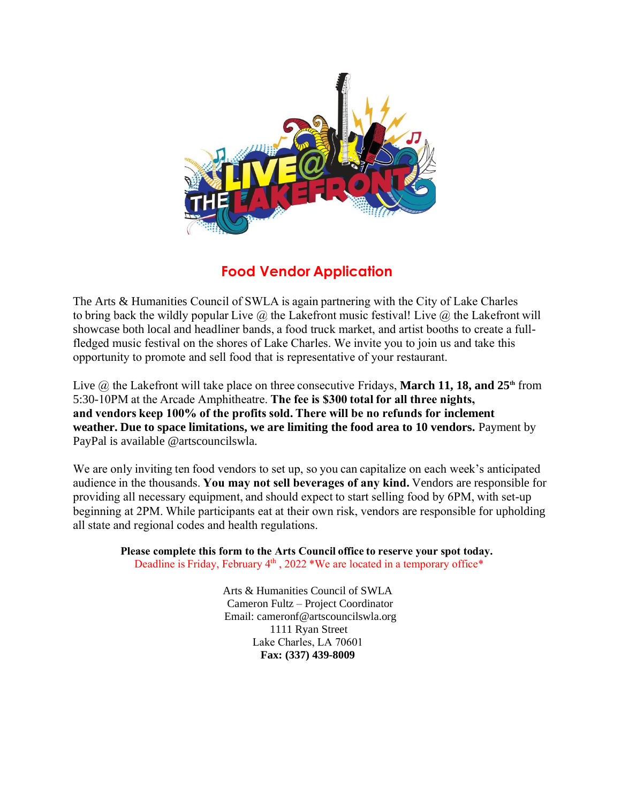

## **Food Vendor Application**

The Arts & Humanities Council of SWLA is again partnering with the City of Lake Charles to bring back the wildly popular Live  $\hat{\omega}$  the Lakefront music festival! Live  $\hat{\omega}$  the Lakefront will showcase both local and headliner bands, a food truck market, and artist booths to create a fullfledged music festival on the shores of Lake Charles. We invite you to join us and take this opportunity to promote and sell food that is representative of your restaurant. 

Live @ the Lakefront will take place on three consecutive Fridays, **March 11, 18, and 25<sup>th</sup>** from 5:30-10PM at the Arcade Amphitheatre. **The fee is \$300 total for all three nights, and vendors keep 100% of the profits sold. There will be no refunds for inclement weather. Due to space limitations, we are limiting the food area to 10 vendors.** Payment by PayPal is available @artscouncilswla.

We are only inviting ten food vendors to set up, so you can capitalize on each week's anticipated audience in the thousands. **You may not sell beverages of any kind.**Vendors are responsible for providing all necessary equipment, and should expect to start selling food by 6PM, with set-up beginning at 2PM. While participants eat at their own risk, vendors are responsible for upholding all state and regional codes and health regulations.  

**Please complete this form to the Arts Council office to reserve your spot today.** Deadline is Friday, February 4<sup>th</sup>, 2022 \*We are located in a temporary office\*

> Arts & Humanities Council of SWLA Cameron Fultz – Project Coordinator Email: cameronf@artscouncilswla.org 1111 Ryan Street Lake Charles, LA 70601  **Fax: (337) 439-8009**